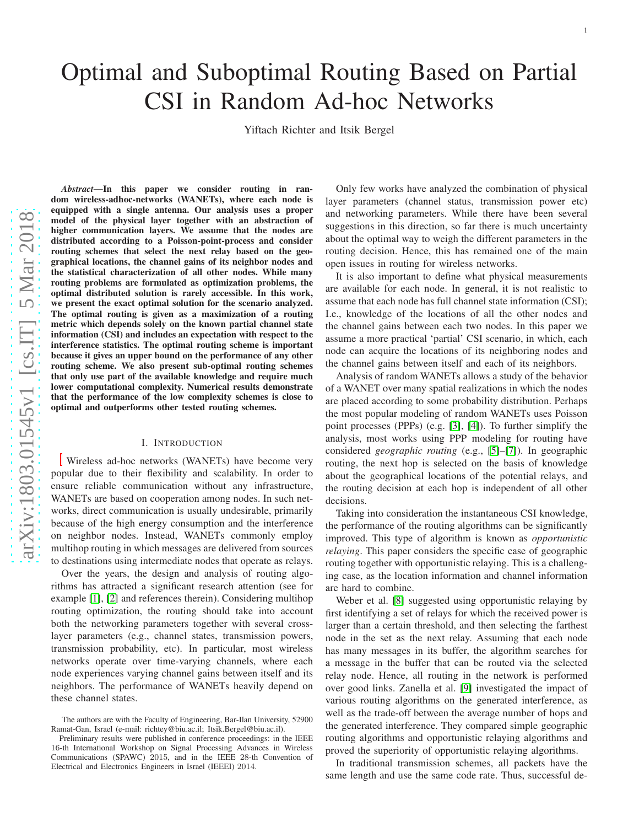# Optimal and Suboptimal Routing Based on Partial CSI in Random Ad-hoc Networks

Yiftach Richter and Itsik Bergel

*Abstract*—In this paper we consider routing in random wireless-adhoc-networks (WANETs), where each node is equipped with a single antenna. Our analysis uses a proper model of the physical layer together with an abstraction of higher communication layers. We assume that the nodes are distributed according to a Poisson-point-process and consider routing schemes that select the next relay based on the geographical locations, the channel gains of its neighbor nodes and the statistical characterization of all other nodes. While many routing problems are formulated as optimization problems, the optimal distributed solution is rarely accessible. In this work, we present the exact optimal solution for the scenario analyzed. The optimal routing is given as a maximization of a routing metric which depends solely on the known partial channel state information (CSI) and includes an expectation with respect to the interference statistics. The optimal routing scheme is important because it gives an upper bound on the performance of any othe r routing scheme. We also present sub-optimal routing scheme s that only use part of the available knowledge and require muc h lower computational complexity. Numerical results demonstrate that the performance of the low complexity schemes is close t o optimal and outperforms other tested routing schemes.

#### I. INTRODUCTION

Wireless ad-hoc networks (WANETs) have become very popular due to their flexibility and scalability. In order to ensure reliable communication without any infrastructure , WANETs are based on cooperation among nodes. In such networks, direct communication is usually undesirable, primarily because of the high energy consumption and the interference on neighbor nodes. Instead, WANETs commonly employ multihop routing in which messages are delivered from sources to destinations using intermediate nodes that operate as relays.

Over the years, the design and analysis of routing algorithms has attracted a significant research attention (see for example [\[1\]](#page-11-0), [\[2\]](#page-11-1) and references therein). Considering multihop routing optimization, the routing should take into account both the networking parameters together with several cross layer parameters (e.g., channel states, transmission powers, transmission probability, etc). In particular, most wireless networks operate over time-varying channels, where each node experiences varying channel gains between itself and its neighbors. The performance of WANETs heavily depend on these channel states.

Only few works have analyzed the combination of physical layer parameters (channel status, transmission power etc) and networking parameters. While there have been several suggestions in this direction, so far there is much uncertainty about the optimal way to weigh the different parameters in th e routing decision. Hence, this has remained one of the main open issues in routing for wireless networks.

It is also important to define what physical measurements are available for each node. In general, it is not realistic t o assume that each node has full channel state information (CSI); I.e., knowledge of the locations of all the other nodes and the channel gains between each two nodes. In this paper we assume a more practical 'partial' CSI scenario, in which, each node can acquire the locations of its neighboring nodes and the channel gains between itself and each of its neighbors.

Analysis of random WANETs allows a study of the behavior of a WANET over many spatial realizations in which the nodes are placed according to some probability distribution. Perhaps the most popular modeling of random WANETs uses Poisson point processes (PPPs) (e.g. [\[3\]](#page-11-2), [\[4\]](#page-11-3)). To further simplify the analysis, most works using PPP modeling for routing have considered *geographic routing* (e.g., [\[5\]](#page-11-4)–[\[7\]](#page-11-5)). In geographic routing, the next hop is selected on the basis of knowledge about the geographical locations of the potential relays, and the routing decision at each hop is independent of all other decisions.

Taking into consideration the instantaneous CSI knowledge , the performance of the routing algorithms can be significantly improved. This type of algorithm is known as *opportunistic relaying*. This paper considers the specific case of geographic routing together with opportunistic relaying. This is a challenging case, as the location information and channel information are hard to combine.

Weber et al. [\[8\]](#page-11-6) suggested using opportunistic relaying by first identifying a set of relays for which the received power is larger than a certain threshold, and then selecting the farthest node in the set as the next relay. Assuming that each node has many messages in its buffer, the algorithm searches for a message in the buffer that can be routed via the selected relay node. Hence, all routing in the network is performed over good links. Zanella et al. [\[9\]](#page-11-7) investigated the impact o f various routing algorithms on the generated interference, as well as the trade-off between the average number of hops and the generated interference. They compared simple geographic routing algorithms and opportunistic relaying algorithms and proved the superiority of opportunistic relaying algorithms.

In traditional transmission schemes, all packets have the same length and use the same code rate. Thus, successful de-

The authors are with the Faculty of Engineering, Bar-Ilan University, 52900 Ramat-Gan, Israel (e-mail: richtey@biu.ac.il; Itsik.Bergel@biu.ac.il).

Preliminary results were published in conference proceedings: in the IEEE 16-th International Workshop on Signal Processing Advances in Wireless Communications (SPAWC) 2015, and in the IEEE 28-th Convention of Electrical and Electronics Engineers in Israel (IEEEI) 2014 .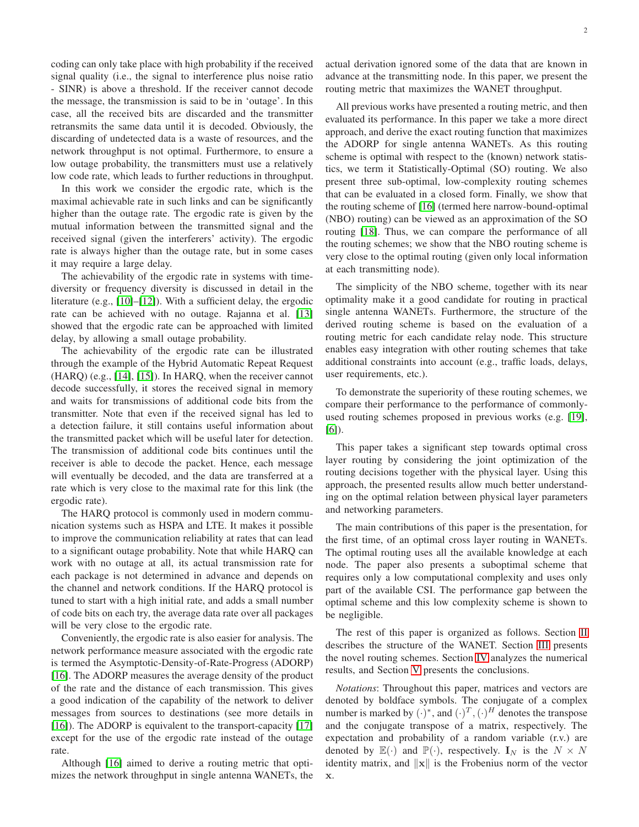coding can only take place with high probability if the received signal quality (i.e., the signal to interference plus noise ratio - SINR) is above a threshold. If the receiver cannot decode the message, the transmission is said to be in 'outage'. In this case, all the received bits are discarded and the transmitter retransmits the same data until it is decoded. Obviously, the discarding of undetected data is a waste of resources, and the network throughput is not optimal. Furthermore, to ensure a low outage probability, the transmitters must use a relatively low code rate, which leads to further reductions in throughput.

In this work we consider the ergodic rate, which is the maximal achievable rate in such links and can be significantly higher than the outage rate. The ergodic rate is given by the mutual information between the transmitted signal and the received signal (given the interferers' activity). The ergodic rate is always higher than the outage rate, but in some cases it may require a large delay.

The achievability of the ergodic rate in systems with timediversity or frequency diversity is discussed in detail in the literature (e.g., [\[10\]](#page-11-8)–[\[12\]](#page-11-9)). With a sufficient delay, the ergodic rate can be achieved with no outage. Rajanna et al. [\[13\]](#page-11-10) showed that the ergodic rate can be approached with limited delay, by allowing a small outage probability.

The achievability of the ergodic rate can be illustrated through the example of the Hybrid Automatic Repeat Request (HARQ) (e.g., [\[14\]](#page-11-11), [\[15\]](#page-11-12)). In HARQ, when the receiver cannot decode successfully, it stores the received signal in memory and waits for transmissions of additional code bits from the transmitter. Note that even if the received signal has led to a detection failure, it still contains useful information about the transmitted packet which will be useful later for detection. The transmission of additional code bits continues until the receiver is able to decode the packet. Hence, each message will eventually be decoded, and the data are transferred at a rate which is very close to the maximal rate for this link (the ergodic rate).

The HARQ protocol is commonly used in modern communication systems such as HSPA and LTE. It makes it possible to improve the communication reliability at rates that can lead to a significant outage probability. Note that while HARQ can work with no outage at all, its actual transmission rate for each package is not determined in advance and depends on the channel and network conditions. If the HARQ protocol is tuned to start with a high initial rate, and adds a small number of code bits on each try, the average data rate over all packages will be very close to the ergodic rate.

Conveniently, the ergodic rate is also easier for analysis. The network performance measure associated with the ergodic rate is termed the Asymptotic-Density-of-Rate-Progress (ADORP) [\[16\]](#page-11-13). The ADORP measures the average density of the product of the rate and the distance of each transmission. This gives a good indication of the capability of the network to deliver messages from sources to destinations (see more details in [\[16\]](#page-11-13)). The ADORP is equivalent to the transport-capacity [\[17\]](#page-11-14) except for the use of the ergodic rate instead of the outage rate.

Although [\[16\]](#page-11-13) aimed to derive a routing metric that optimizes the network throughput in single antenna WANETs, the actual derivation ignored some of the data that are known in advance at the transmitting node. In this paper, we present the routing metric that maximizes the WANET throughput.

All previous works have presented a routing metric, and then evaluated its performance. In this paper we take a more direct approach, and derive the exact routing function that maximizes the ADORP for single antenna WANETs. As this routing scheme is optimal with respect to the (known) network statistics, we term it Statistically-Optimal (SO) routing. We also present three sub-optimal, low-complexity routing schemes that can be evaluated in a closed form. Finally, we show that the routing scheme of [\[16\]](#page-11-13) (termed here narrow-bound-optimal (NBO) routing) can be viewed as an approximation of the SO routing [\[18\]](#page-11-15). Thus, we can compare the performance of all the routing schemes; we show that the NBO routing scheme is very close to the optimal routing (given only local information at each transmitting node).

The simplicity of the NBO scheme, together with its near optimality make it a good candidate for routing in practical single antenna WANETs. Furthermore, the structure of the derived routing scheme is based on the evaluation of a routing metric for each candidate relay node. This structure enables easy integration with other routing schemes that take additional constraints into account (e.g., traffic loads, delays, user requirements, etc.).

To demonstrate the superiority of these routing schemes, we compare their performance to the performance of commonlyused routing schemes proposed in previous works (e.g. [\[19\]](#page-11-16), [\[6\]](#page-11-17)).

This paper takes a significant step towards optimal cross layer routing by considering the joint optimization of the routing decisions together with the physical layer. Using this approach, the presented results allow much better understanding on the optimal relation between physical layer parameters and networking parameters.

The main contributions of this paper is the presentation, for the first time, of an optimal cross layer routing in WANETs. The optimal routing uses all the available knowledge at each node. The paper also presents a suboptimal scheme that requires only a low computational complexity and uses only part of the available CSI. The performance gap between the optimal scheme and this low complexity scheme is shown to be negligible.

The rest of this paper is organized as follows. Section [II](#page-2-0) describes the structure of the WANET. Section [III](#page-4-0) presents the novel routing schemes. Section [IV](#page-6-0) analyzes the numerical results, and Section [V](#page-8-0) presents the conclusions.

*Notations*: Throughout this paper, matrices and vectors are denoted by boldface symbols. The conjugate of a complex number is marked by  $(\cdot)^{*}$ , and  $(\cdot)^{T}$ ,  $(\cdot)^{H}$  denotes the transpose and the conjugate transpose of a matrix, respectively. The expectation and probability of a random variable (r.v.) are denoted by  $\mathbb{E}(\cdot)$  and  $\mathbb{P}(\cdot)$ , respectively.  $\mathbf{I}_N$  is the  $N \times N$ identity matrix, and  $\|\mathbf{x}\|$  is the Frobenius norm of the vector x.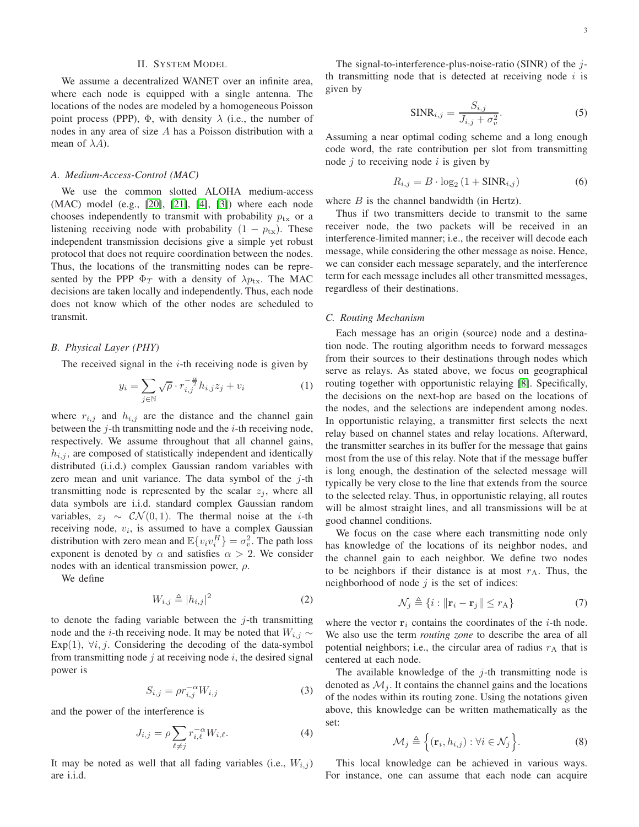# II. SYSTEM MODEL

<span id="page-2-0"></span>We assume a decentralized WANET over an infinite area, where each node is equipped with a single antenna. The locations of the nodes are modeled by a homogeneous Poisson point process (PPP),  $\Phi$ , with density  $\lambda$  (i.e., the number of nodes in any area of size A has a Poisson distribution with a mean of  $\lambda A$ ).

#### *A. Medium-Access-Control (MAC)*

We use the common slotted ALOHA medium-access (MAC) model (e.g., [\[20\]](#page-11-18), [\[21\]](#page-11-19), [\[4\]](#page-11-3), [\[3\]](#page-11-2)) where each node chooses independently to transmit with probability  $p_{\text{tx}}$  or a listening receiving node with probability  $(1 - p_{tx})$ . These independent transmission decisions give a simple yet robust protocol that does not require coordination between the nodes. Thus, the locations of the transmitting nodes can be represented by the PPP  $\Phi_T$  with a density of  $\lambda p_{\text{tx}}$ . The MAC decisions are taken locally and independently. Thus, each node does not know which of the other nodes are scheduled to transmit.

# *B. Physical Layer (PHY)*

The received signal in the  $i$ -th receiving node is given by

$$
y_i = \sum_{j \in \mathbb{N}} \sqrt{\rho} \cdot r_{i,j}^{-\frac{\alpha}{2}} h_{i,j} z_j + v_i \tag{1}
$$

where  $r_{i,j}$  and  $h_{i,j}$  are the distance and the channel gain between the  $j$ -th transmitting node and the  $i$ -th receiving node, respectively. We assume throughout that all channel gains,  $h_{i,j}$ , are composed of statistically independent and identically distributed (i.i.d.) complex Gaussian random variables with zero mean and unit variance. The data symbol of the  $j$ -th transmitting node is represented by the scalar  $z_j$ , where all data symbols are i.i.d. standard complex Gaussian random variables,  $z_j \sim \mathcal{CN}(0, 1)$ . The thermal noise at the *i*-th receiving node,  $v_i$ , is assumed to have a complex Gaussian distribution with zero mean and  $\mathbb{E}\{v_i v_i^H\} = \sigma_v^2$ . The path loss exponent is denoted by  $\alpha$  and satisfies  $\alpha > 2$ . We consider nodes with an identical transmission power,  $\rho$ .

We define

$$
W_{i,j} \triangleq |h_{i,j}|^2 \tag{2}
$$

to denote the fading variable between the  $j$ -th transmitting node and the *i*-th receiving node. It may be noted that  $W_{i,j} \sim$ Exp(1),  $\forall i, j$ . Considering the decoding of the data-symbol from transmitting node  $j$  at receiving node  $i$ , the desired signal power is

$$
S_{i,j} = \rho r_{i,j}^{-\alpha} W_{i,j} \tag{3}
$$

and the power of the interference is

$$
J_{i,j} = \rho \sum_{\ell \neq j} r_{i,\ell}^{-\alpha} W_{i,\ell}.
$$
 (4)

It may be noted as well that all fading variables (i.e.,  $W_{i,j}$ ) are i.i.d.

The signal-to-interference-plus-noise-ratio (SINR) of the jth transmitting node that is detected at receiving node  $i$  is given by

$$
\text{SINR}_{i,j} = \frac{S_{i,j}}{J_{i,j} + \sigma_v^2}.\tag{5}
$$

Assuming a near optimal coding scheme and a long enough code word, the rate contribution per slot from transmitting node  $i$  to receiving node  $i$  is given by

$$
R_{i,j} = B \cdot \log_2 \left( 1 + \text{SINR}_{i,j} \right) \tag{6}
$$

where  $B$  is the channel bandwidth (in Hertz).

Thus if two transmitters decide to transmit to the same receiver node, the two packets will be received in an interference-limited manner; i.e., the receiver will decode each message, while considering the other message as noise. Hence, we can consider each message separately, and the interference term for each message includes all other transmitted messages, regardless of their destinations.

#### <span id="page-2-1"></span>*C. Routing Mechanism*

Each message has an origin (source) node and a destination node. The routing algorithm needs to forward messages from their sources to their destinations through nodes which serve as relays. As stated above, we focus on geographical routing together with opportunistic relaying [\[8\]](#page-11-6). Specifically, the decisions on the next-hop are based on the locations of the nodes, and the selections are independent among nodes. In opportunistic relaying, a transmitter first selects the next relay based on channel states and relay locations. Afterward, the transmitter searches in its buffer for the message that gains most from the use of this relay. Note that if the message buffer is long enough, the destination of the selected message will typically be very close to the line that extends from the source to the selected relay. Thus, in opportunistic relaying, all routes will be almost straight lines, and all transmissions will be at good channel conditions.

We focus on the case where each transmitting node only has knowledge of the locations of its neighbor nodes, and the channel gain to each neighbor. We define two nodes to be neighbors if their distance is at most  $r_A$ . Thus, the neighborhood of node  $j$  is the set of indices:

$$
\mathcal{N}_j \triangleq \{ i : ||\mathbf{r}_i - \mathbf{r}_j|| \le r_A \}
$$
 (7)

where the vector  $r_i$  contains the coordinates of the *i*-th node. We also use the term *routing zone* to describe the area of all potential neighbors; i.e., the circular area of radius  $r_A$  that is centered at each node.

The available knowledge of the  $j$ -th transmitting node is denoted as  $\mathcal{M}_i$ . It contains the channel gains and the locations of the nodes within its routing zone. Using the notations given above, this knowledge can be written mathematically as the set:

$$
\mathcal{M}_j \triangleq \left\{ (\mathbf{r}_i, h_{i,j}) : \forall i \in \mathcal{N}_j \right\}.
$$
 (8)

This local knowledge can be achieved in various ways. For instance, one can assume that each node can acquire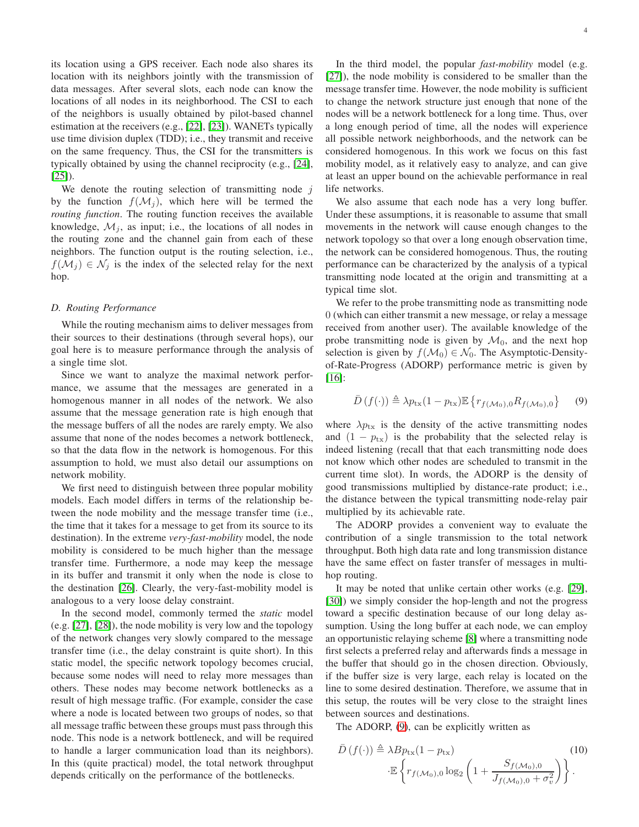its location using a GPS receiver. Each node also shares its location with its neighbors jointly with the transmission of data messages. After several slots, each node can know the locations of all nodes in its neighborhood. The CSI to each of the neighbors is usually obtained by pilot-based channel estimation at the receivers (e.g., [\[22\]](#page-11-20), [\[23\]](#page-11-21)). WANETs typically use time division duplex (TDD); i.e., they transmit and receive on the same frequency. Thus, the CSI for the transmitters is typically obtained by using the channel reciprocity (e.g., [\[24\]](#page-11-22), [\[25\]](#page-11-23)).

We denote the routing selection of transmitting node  $j$ by the function  $f(\mathcal{M}_i)$ , which here will be termed the *routing function*. The routing function receives the available knowledge,  $M_j$ , as input; i.e., the locations of all nodes in the routing zone and the channel gain from each of these neighbors. The function output is the routing selection, i.e.,  $f(\mathcal{M}_j) \in \mathcal{N}_j$  is the index of the selected relay for the next hop.

## *D. Routing Performance*

While the routing mechanism aims to deliver messages from their sources to their destinations (through several hops), our goal here is to measure performance through the analysis of a single time slot.

Since we want to analyze the maximal network performance, we assume that the messages are generated in a homogenous manner in all nodes of the network. We also assume that the message generation rate is high enough that the message buffers of all the nodes are rarely empty. We also assume that none of the nodes becomes a network bottleneck, so that the data flow in the network is homogenous. For this assumption to hold, we must also detail our assumptions on network mobility.

We first need to distinguish between three popular mobility models. Each model differs in terms of the relationship between the node mobility and the message transfer time (i.e., the time that it takes for a message to get from its source to its destination). In the extreme *very-fast-mobility* model, the node mobility is considered to be much higher than the message transfer time. Furthermore, a node may keep the message in its buffer and transmit it only when the node is close to the destination [\[26\]](#page-11-24). Clearly, the very-fast-mobility model is analogous to a very loose delay constraint.

In the second model, commonly termed the *static* model (e.g. [\[27\]](#page-11-25), [\[28\]](#page-11-26)), the node mobility is very low and the topology of the network changes very slowly compared to the message transfer time (i.e., the delay constraint is quite short). In this static model, the specific network topology becomes crucial, because some nodes will need to relay more messages than others. These nodes may become network bottlenecks as a result of high message traffic. (For example, consider the case where a node is located between two groups of nodes, so that all message traffic between these groups must pass through this node. This node is a network bottleneck, and will be required to handle a larger communication load than its neighbors). In this (quite practical) model, the total network throughput depends critically on the performance of the bottlenecks.

In the third model, the popular *fast-mobility* model (e.g. [\[27\]](#page-11-25)), the node mobility is considered to be smaller than the message transfer time. However, the node mobility is sufficient to change the network structure just enough that none of the nodes will be a network bottleneck for a long time. Thus, over a long enough period of time, all the nodes will experience all possible network neighborhoods, and the network can be considered homogenous. In this work we focus on this fast mobility model, as it relatively easy to analyze, and can give at least an upper bound on the achievable performance in real life networks.

We also assume that each node has a very long buffer. Under these assumptions, it is reasonable to assume that small movements in the network will cause enough changes to the network topology so that over a long enough observation time, the network can be considered homogenous. Thus, the routing performance can be characterized by the analysis of a typical transmitting node located at the origin and transmitting at a typical time slot.

We refer to the probe transmitting node as transmitting node 0 (which can either transmit a new message, or relay a message received from another user). The available knowledge of the probe transmitting node is given by  $\mathcal{M}_0$ , and the next hop selection is given by  $f(\mathcal{M}_0) \in \mathcal{N}_0$ . The Asymptotic-Densityof-Rate-Progress (ADORP) performance metric is given by [\[16\]](#page-11-13):

<span id="page-3-0"></span>
$$
\bar{D}(f(\cdot)) \triangleq \lambda p_{\text{tx}} (1 - p_{\text{tx}}) \mathbb{E} \left\{ r_{f(\mathcal{M}_0),0} R_{f(\mathcal{M}_0),0} \right\} \tag{9}
$$

where  $\lambda p_{\text{tx}}$  is the density of the active transmitting nodes and  $(1 - p_{tx})$  is the probability that the selected relay is indeed listening (recall that that each transmitting node does not know which other nodes are scheduled to transmit in the current time slot). In words, the ADORP is the density of good transmissions multiplied by distance-rate product; i.e., the distance between the typical transmitting node-relay pair multiplied by its achievable rate.

The ADORP provides a convenient way to evaluate the contribution of a single transmission to the total network throughput. Both high data rate and long transmission distance have the same effect on faster transfer of messages in multihop routing.

It may be noted that unlike certain other works (e.g. [\[29\]](#page-11-27), [\[30\]](#page-11-28)) we simply consider the hop-length and not the progress toward a specific destination because of our long delay assumption. Using the long buffer at each node, we can employ an opportunistic relaying scheme [\[8\]](#page-11-6) where a transmitting node first selects a preferred relay and afterwards finds a message in the buffer that should go in the chosen direction. Obviously, if the buffer size is very large, each relay is located on the line to some desired destination. Therefore, we assume that in this setup, the routes will be very close to the straight lines between sources and destinations.

The ADORP, [\(9\)](#page-3-0), can be explicitly written as

<span id="page-3-1"></span>
$$
\bar{D}(f(\cdot)) \triangleq \lambda B p_{\text{tx}} (1 - p_{\text{tx}})
$$
\n
$$
\mathbb{E} \left\{ r_{f(\mathcal{M}_0),0} \log_2 \left( 1 + \frac{S_{f(\mathcal{M}_0),0}}{J_{f(\mathcal{M}_0),0} + \sigma_v^2} \right) \right\}.
$$
\n(10)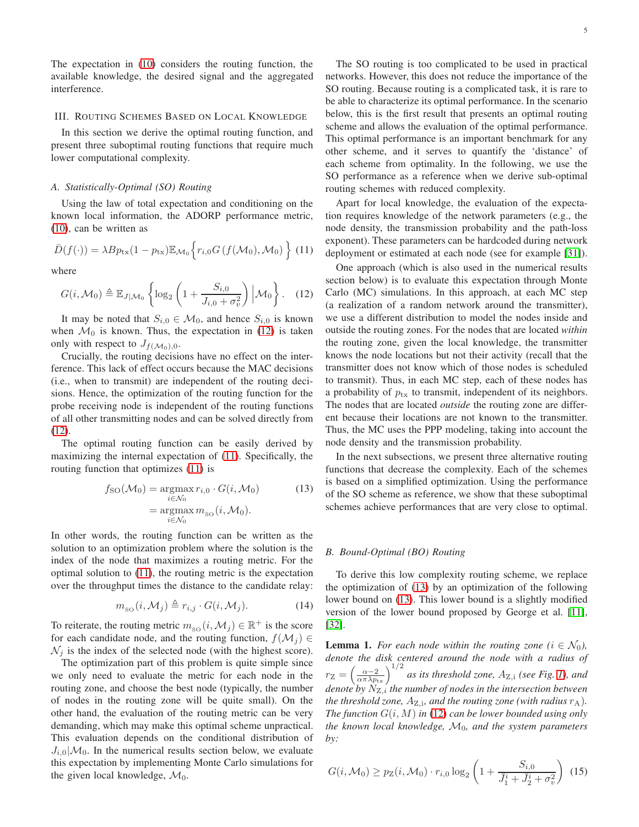The expectation in [\(10\)](#page-3-1) considers the routing function, the available knowledge, the desired signal and the aggregated interference.

### <span id="page-4-0"></span>III. ROUTING SCHEMES BASED ON LOCAL KNOWLEDGE

In this section we derive the optimal routing function, and present three suboptimal routing functions that require much lower computational complexity.

# *A. Statistically-Optimal (SO) Routing*

Using the law of total expectation and conditioning on the known local information, the ADORP performance metric, [\(10\)](#page-3-1), can be written as

$$
\bar{D}(f(\cdot)) = \lambda B p_{\text{tx}} (1 - p_{\text{tx}}) \mathbb{E}_{\mathcal{M}_0} \left\{ r_{i,0} G\left(f(\mathcal{M}_0), \mathcal{M}_0\right) \right\} (11)
$$

where

$$
G(i, \mathcal{M}_0) \triangleq \mathbb{E}_{J|\mathcal{M}_0} \left\{ \log_2 \left( 1 + \frac{S_{i,0}}{J_{i,0} + \sigma_v^2} \right) \Big| \mathcal{M}_0 \right\}.
$$
 (12)

It may be noted that  $S_{i,0} \in \mathcal{M}_0$ , and hence  $S_{i,0}$  is known when  $\mathcal{M}_0$  is known. Thus, the expectation in [\(12\)](#page-4-1) is taken only with respect to  $J_{f(M_0),0}$ .

Crucially, the routing decisions have no effect on the interference. This lack of effect occurs because the MAC decisions (i.e., when to transmit) are independent of the routing decisions. Hence, the optimization of the routing function for the probe receiving node is independent of the routing functions of all other transmitting nodes and can be solved directly from [\(12\)](#page-4-1).

The optimal routing function can be easily derived by maximizing the internal expectation of [\(11\)](#page-4-2). Specifically, the routing function that optimizes [\(11\)](#page-4-2) is

$$
f_{\text{SO}}(\mathcal{M}_0) = \underset{i \in \mathcal{N}_0}{\operatorname{argmax}} r_{i,0} \cdot G(i, \mathcal{M}_0)
$$
(13)  
= 
$$
\underset{i \in \mathcal{N}_0}{\operatorname{argmax}} m_{\text{SO}}(i, \mathcal{M}_0).
$$

In other words, the routing function can be written as the solution to an optimization problem where the solution is the index of the node that maximizes a routing metric. For the optimal solution to [\(11\)](#page-4-2), the routing metric is the expectation over the throughput times the distance to the candidate relay:

$$
m_{\rm SO}(i,\mathcal{M}_j) \triangleq r_{i,j} \cdot G(i,\mathcal{M}_j). \tag{14}
$$

To reiterate, the routing metric  $m_{\text{so}}(i, \mathcal{M}_j) \in \mathbb{R}^+$  is the score for each candidate node, and the routing function,  $f(\mathcal{M}_i) \in$  $\mathcal{N}_i$  is the index of the selected node (with the highest score).

The optimization part of this problem is quite simple since we only need to evaluate the metric for each node in the routing zone, and choose the best node (typically, the number of nodes in the routing zone will be quite small). On the other hand, the evaluation of the routing metric can be very demanding, which may make this optimal scheme unpractical. This evaluation depends on the conditional distribution of  $J_{i,0}|\mathcal{M}_0$ . In the numerical results section below, we evaluate this expectation by implementing Monte Carlo simulations for the given local knowledge,  $\mathcal{M}_0$ .

The SO routing is too complicated to be used in practical networks. However, this does not reduce the importance of the SO routing. Because routing is a complicated task, it is rare to be able to characterize its optimal performance. In the scenario below, this is the first result that presents an optimal routing scheme and allows the evaluation of the optimal performance. This optimal performance is an important benchmark for any other scheme, and it serves to quantify the 'distance' of each scheme from optimality. In the following, we use the SO performance as a reference when we derive sub-optimal routing schemes with reduced complexity.

Apart for local knowledge, the evaluation of the expectation requires knowledge of the network parameters (e.g., the node density, the transmission probability and the path-loss exponent). These parameters can be hardcoded during network deployment or estimated at each node (see for example [\[31\]](#page-11-29)).

<span id="page-4-2"></span><span id="page-4-1"></span>One approach (which is also used in the numerical results section below) is to evaluate this expectation through Monte Carlo (MC) simulations. In this approach, at each MC step (a realization of a random network around the transmitter), we use a different distribution to model the nodes inside and outside the routing zones. For the nodes that are located *within* the routing zone, given the local knowledge, the transmitter knows the node locations but not their activity (recall that the transmitter does not know which of those nodes is scheduled to transmit). Thus, in each MC step, each of these nodes has a probability of  $p_{tx}$  to transmit, independent of its neighbors. The nodes that are located *outside* the routing zone are different because their locations are not known to the transmitter. Thus, the MC uses the PPP modeling, taking into account the node density and the transmission probability.

<span id="page-4-3"></span>In the next subsections, we present three alternative routing functions that decrease the complexity. Each of the schemes is based on a simplified optimization. Using the performance of the SO scheme as reference, we show that these suboptimal schemes achieve performances that are very close to optimal.

# *B. Bound-Optimal (BO) Routing*

<span id="page-4-6"></span>To derive this low complexity routing scheme, we replace the optimization of [\(13\)](#page-4-3) by an optimization of the following lower bound on [\(13\)](#page-4-3). This lower bound is a slightly modified version of the lower bound proposed by George et al. [\[11\]](#page-11-30), [\[32\]](#page-11-31).

<span id="page-4-4"></span>**Lemma 1.** For each node within the routing zone ( $i \in \mathcal{N}_0$ ), *denote the disk centered around the node with a radius of*  $r_Z = \left(\frac{\alpha-2}{\alpha\pi\lambda p_{\rm tx}}\right)^{1/2}$  as its threshold zone,  $A_{\rm Z,i}$  (see Fig. [1\)](#page-5-0), and *denote by*  $N_{Z,i}$  *the number of nodes in the intersection between the threshold zone,*  $A_{\text{Z},i}$ *, and the routing zone (with radius*  $r_{\text{A}}$ ). *The function* G(i, M) *in* [\(12\)](#page-4-1) *can be lower bounded using only the known local knowledge,* M0*, and the system parameters by:*

<span id="page-4-5"></span>
$$
G(i, \mathcal{M}_0) \ge p_Z(i, \mathcal{M}_0) \cdot r_{i,0} \log_2 \left( 1 + \frac{S_{i,0}}{\bar{J}_1^i + \bar{J}_2^i + \sigma_v^2} \right) (15)
$$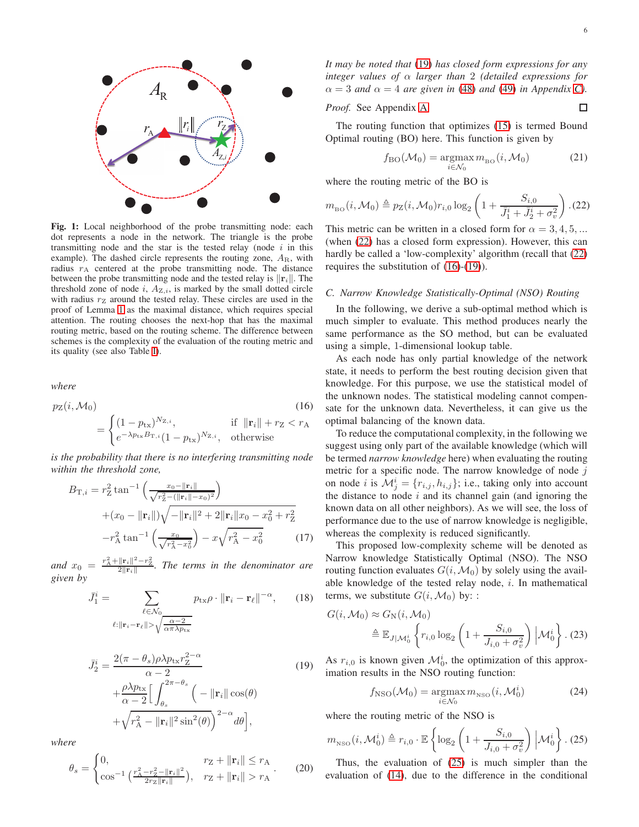<span id="page-5-0"></span>

Fig. 1: Local neighborhood of the probe transmitting node: each dot represents a node in the network. The triangle is the probe transmitting node and the star is the tested relay (node  $i$  in this example). The dashed circle represents the routing zone,  $A_{\rm R}$ , with radius  $r_A$  centered at the probe transmitting node. The distance between the probe transmitting node and the tested relay is  $\|\mathbf{r}_i\|$ . The threshold zone of node i,  $A_{Z,i}$ , is marked by the small dotted circle with radius  $r<sub>Z</sub>$  around the tested relay. These circles are used in the proof of Lemma [1](#page-4-4) as the maximal distance, which requires special attention. The routing chooses the next-hop that has the maximal routing metric, based on the routing scheme. The difference between schemes is the complexity of the evaluation of the routing metric and its quality (see also Table [I\)](#page-7-0).

*where*

$$
p_{Z}(i, \mathcal{M}_{0}) = \begin{cases} (1 - p_{\text{tx}})^{N_{Z,i}}, & \text{if } ||\mathbf{r}_{i}|| + r_{Z} < r_{A} \\ e^{-\lambda p_{\text{tx}} B_{\text{T},i}} (1 - p_{\text{tx}})^{N_{Z,i}}, & \text{otherwise} \end{cases}
$$
(16)

*is the probability that there is no interfering transmitting node within the threshold zone,*

$$
B_{\mathrm{T},i} = r_Z^2 \tan^{-1} \left( \frac{x_0 - ||\mathbf{r}_i||}{\sqrt{r_Z^2 - (||\mathbf{r}_i|| - x_0)^2}} \right) + (x_0 - ||\mathbf{r}_i||) \sqrt{-||\mathbf{r}_i||^2 + 2||\mathbf{r}_i||x_0 - x_0^2 + r_Z^2} -r_A^2 \tan^{-1} \left( \frac{x_0}{\sqrt{r_A^2 - x_0^2}} \right) - x \sqrt{r_A^2 - x_0^2}
$$
(17)

and  $x_0 = \frac{r_A^2 + ||\mathbf{r}_i||^2 - r_Z^2}{2||\mathbf{r}_i||}$ . The terms in the denominator are *given by*

$$
\bar{J}_1^i = \sum_{\ell \in \mathcal{N}_0 \atop \ell: ||\mathbf{r}_i - \mathbf{r}_\ell|| > \sqrt{\frac{\alpha - 2}{\alpha \pi \lambda p_{\text{tx}}}}} p_{\text{tx}} \rho \cdot ||\mathbf{r}_i - \mathbf{r}_\ell||^{-\alpha}, \qquad (18)
$$

$$
\bar{J}_{2}^{i} = \frac{2(\pi - \theta_{s})\rho\lambda p_{\text{tx}}r_{\text{Z}}^{2-\alpha}}{\alpha - 2} + \frac{\rho\lambda p_{\text{tx}}}{\alpha - 2}\Big[\int_{\theta_{s}}^{2\pi - \theta_{s}}\left(-\|\mathbf{r}_{i}\|\cos(\theta) + \sqrt{r_{\text{A}}^{2} - \|\mathbf{r}_{i}\|^{2}\sin^{2}(\theta)}\right)^{2-\alpha}d\theta\Big],
$$
\n(19)

*where*

$$
\theta_s = \begin{cases} 0, & r_Z + ||\mathbf{r}_i|| \le r_A \\ \cos^{-1}\left(\frac{r_A^2 - r_Z^2 - ||\mathbf{r}_i||^2}{2r_Z||\mathbf{r}_i||}\right), & r_Z + ||\mathbf{r}_i|| > r_A \end{cases} (20)
$$

*It may be noted that* [\(19\)](#page-5-1) *has closed form expressions for any integer values of* α *larger than* 2 *(detailed expressions for*  $\alpha = 3$  *and*  $\alpha = 4$  *are given in* [\(48\)](#page-11-32) *and* [\(49\)](#page-11-33) *in Appendix C*).

*Proof.* See Appendix A. 
$$
\Box
$$

The routing function that optimizes [\(15\)](#page-4-5) is termed Bound Optimal routing (BO) here. This function is given by

<span id="page-5-6"></span><span id="page-5-2"></span>
$$
f_{\rm BO}(\mathcal{M}_0) = \underset{i \in \mathcal{N}_0}{\operatorname{argmax}} m_{\rm BO}(i, \mathcal{M}_0)
$$
 (21)

where the routing metric of the BO is

$$
m_{\text{BO}}(i,\mathcal{M}_0) \triangleq p_{\text{Z}}(i,\mathcal{M}_0) r_{i,0} \log_2 \left(1 + \frac{S_{i,0}}{\bar{J}_1^i + \bar{J}_2^i + \sigma_v^2}\right). (22)
$$

This metric can be written in a closed form for  $\alpha = 3, 4, 5, ...$ (when [\(22\)](#page-5-2) has a closed form expression). However, this can hardly be called a 'low-complexity' algorithm (recall that [\(22\)](#page-5-2) requires the substitution of [\(16\)](#page-5-3)-[\(19\)](#page-5-1)).

# *C. Narrow Knowledge Statistically-Optimal (NSO) Routing*

In the following, we derive a sub-optimal method which is much simpler to evaluate. This method produces nearly the same performance as the SO method, but can be evaluated using a simple, 1-dimensional lookup table.

As each node has only partial knowledge of the network state, it needs to perform the best routing decision given that knowledge. For this purpose, we use the statistical model of the unknown nodes. The statistical modeling cannot compensate for the unknown data. Nevertheless, it can give us the optimal balancing of the known data.

<span id="page-5-3"></span>To reduce the computational complexity, in the following we suggest using only part of the available knowledge (which will be termed *narrow knowledge* here) when evaluating the routing metric for a specific node. The narrow knowledge of node  $j$ on node *i* is  $\mathcal{M}_{j}^{i} = \{r_{i,j}, h_{i,j}\}$ ; i.e., taking only into account the distance to node  $i$  and its channel gain (and ignoring the known data on all other neighbors). As we will see, the loss of performance due to the use of narrow knowledge is negligible, whereas the complexity is reduced significantly.

<span id="page-5-8"></span>This proposed low-complexity scheme will be denoted as Narrow knowledge Statistically Optimal (NSO). The NSO routing function evaluates  $G(i, \mathcal{M}_0)$  by solely using the available knowledge of the tested relay node,  $i$ . In mathematical terms, we substitute  $G(i, \mathcal{M}_0)$  by: :

<span id="page-5-9"></span>
$$
G(i, \mathcal{M}_0) \approx G_{\rm N}(i, \mathcal{M}_0)
$$
  
\n
$$
\triangleq \mathbb{E}_{J|\mathcal{M}_0^i} \left\{ r_{i,0} \log_2 \left( 1 + \frac{S_{i,0}}{J_{i,0} + \sigma_v^2} \right) \Big| \mathcal{M}_0^i \right\}.
$$
 (23)

<span id="page-5-1"></span>As  $r_{i,0}$  is known given  $\mathcal{M}_0^i$ , the optimization of this approximation results in the NSO routing function:

<span id="page-5-7"></span><span id="page-5-5"></span><span id="page-5-4"></span>
$$
f_{\rm NSO}(\mathcal{M}_0) = \underset{i \in \mathcal{N}_0}{\operatorname{argmax}} m_{\rm NSO}(i, \mathcal{M}_0^i)
$$
(24)

where the routing metric of the NSO is

$$
m_{\rm NSO}(i,\mathcal{M}_0^i) \triangleq r_{i,0} \cdot \mathbb{E}\left\{\log_2\left(1 + \frac{S_{i,0}}{J_{i,0} + \sigma_v^2}\right) \Big|\mathcal{M}_0^i\right\}.
$$
 (25)

<span id="page-5-10"></span>Thus, the evaluation of [\(25\)](#page-5-4) is much simpler than the evaluation of [\(14\)](#page-4-6), due to the difference in the conditional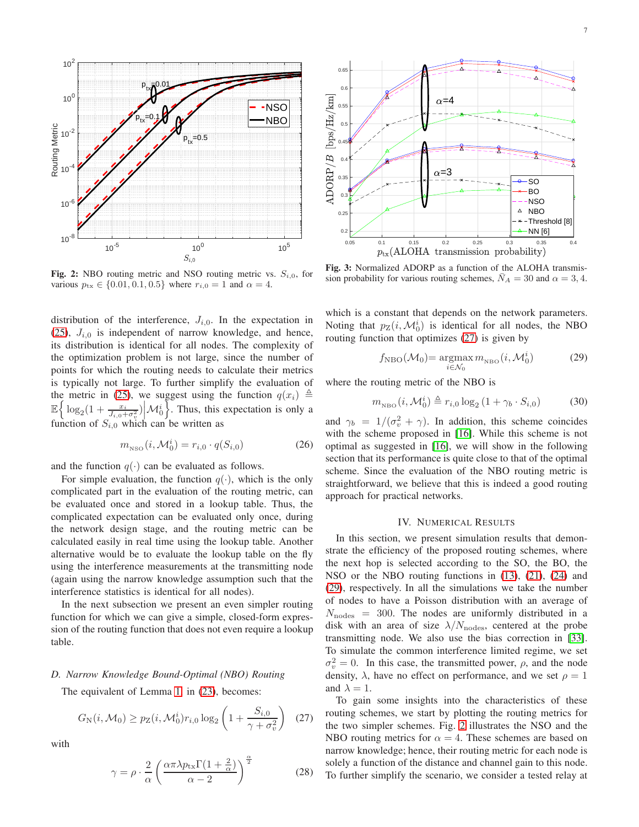<span id="page-6-3"></span>

Fig. 2: NBO routing metric and NSO routing metric vs.  $S_{i,0}$ , for various  $p_{\text{tx}} \in \{0.01, 0.1, 0.5\}$  where  $r_{i,0} = 1$  and  $\alpha = 4$ .

distribution of the interference,  $J_{i,0}$ . In the expectation in [\(25\)](#page-5-4),  $J_{i,0}$  is independent of narrow knowledge, and hence, its distribution is identical for all nodes. The complexity of the optimization problem is not large, since the number of points for which the routing needs to calculate their metrics is typically not large. To further simplify the evaluation of the metric in [\(25\)](#page-5-4), we suggest using the function  $q(x_i) \triangleq$  $\mathbb{E} \left\{ \log_2(1 + \frac{x_i}{J_{i,0} + \sigma_v^2}) \middle| \mathcal{M}_0^i \right\}$ . Thus, this expectation is only a function of  $S_{i}$ , which can be written as function of  $S_{i,0}$  which can be written as

$$
m_{\rm NSO}(i, \mathcal{M}_0^i) = r_{i,0} \cdot q(S_{i,0}) \tag{26}
$$

and the function  $q(\cdot)$  can be evaluated as follows.

For simple evaluation, the function  $q(\cdot)$ , which is the only complicated part in the evaluation of the routing metric, can be evaluated once and stored in a lookup table. Thus, the complicated expectation can be evaluated only once, during the network design stage, and the routing metric can be calculated easily in real time using the lookup table. Another alternative would be to evaluate the lookup table on the fly using the interference measurements at the transmitting node (again using the narrow knowledge assumption such that the interference statistics is identical for all nodes).

In the next subsection we present an even simpler routing function for which we can give a simple, closed-form expression of the routing function that does not even require a lookup table.

#### *D. Narrow Knowledge Bound-Optimal (NBO) Routing*

The equivalent of Lemma [1,](#page-4-4) in [\(23\)](#page-5-5), becomes:

$$
G_{\rm N}(i,\mathcal{M}_0) \ge p_{\rm Z}(i,\mathcal{M}_0^i) r_{i,0} \log_2 \left(1 + \frac{S_{i,0}}{\gamma + \sigma_v^2}\right) \tag{27}
$$

with

$$
\gamma = \rho \cdot \frac{2}{\alpha} \left( \frac{\alpha \pi \lambda p_{\text{tx}} \Gamma(1 + \frac{2}{\alpha})}{\alpha - 2} \right)^{\frac{\alpha}{2}}
$$
(28)

<span id="page-6-6"></span>

Fig. 3: Normalized ADORP as a function of the ALOHA transmission probability for various routing schemes,  $\bar{N}_A = 30$  and  $\alpha = 3, 4$ .

which is a constant that depends on the network parameters. Noting that  $p_Z(i, \mathcal{M}_0^i)$  is identical for all nodes, the NBO routing function that optimizes [\(27\)](#page-6-1) is given by

<span id="page-6-2"></span>
$$
f_{\rm NBO}(\mathcal{M}_0) = \underset{i \in \mathcal{N}_0}{\operatorname{argmax}} m_{\rm NBO}(i, \mathcal{M}_0^i)
$$
(29)

where the routing metric of the NBO is

<span id="page-6-5"></span>
$$
m_{\rm NBO}(i, \mathcal{M}_0^i) \triangleq r_{i,0} \log_2 \left( 1 + \gamma_b \cdot S_{i,0} \right) \tag{30}
$$

<span id="page-6-4"></span>and  $\gamma_b = 1/(\sigma_v^2 + \gamma)$ . In addition, this scheme coincides with the scheme proposed in [\[16\]](#page-11-13). While this scheme is not optimal as suggested in [\[16\]](#page-11-13), we will show in the following section that its performance is quite close to that of the optimal scheme. Since the evaluation of the NBO routing metric is straightforward, we believe that this is indeed a good routing approach for practical networks.

#### IV. NUMERICAL RESULTS

<span id="page-6-0"></span>In this section, we present simulation results that demonstrate the efficiency of the proposed routing schemes, where the next hop is selected according to the SO, the BO, the NSO or the NBO routing functions in [\(13\)](#page-4-3), [\(21\)](#page-5-6), [\(24\)](#page-5-7) and [\(29\)](#page-6-2), respectively. In all the simulations we take the number of nodes to have a Poisson distribution with an average of  $N_{\text{nodes}} = 300$ . The nodes are uniformly distributed in a disk with an area of size  $\lambda/N_{\text{nodes}}$ , centered at the probe transmitting node. We also use the bias correction in [\[33\]](#page-11-34). To simulate the common interference limited regime, we set  $\sigma_v^2 = 0$ . In this case, the transmitted power,  $\rho$ , and the node density,  $\lambda$ , have no effect on performance, and we set  $\rho = 1$ and  $\lambda = 1$ .

<span id="page-6-1"></span>To gain some insights into the characteristics of these routing schemes, we start by plotting the routing metrics for the two simpler schemes. Fig. [2](#page-6-3) illustrates the NSO and the NBO routing metrics for  $\alpha = 4$ . These schemes are based on narrow knowledge; hence, their routing metric for each node is solely a function of the distance and channel gain to this node. To further simplify the scenario, we consider a tested relay at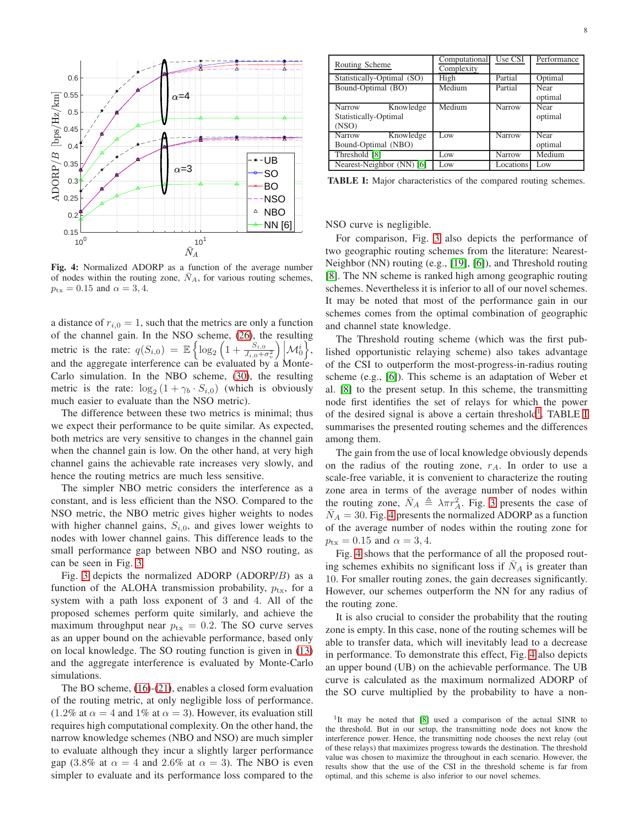<span id="page-7-2"></span>

Fig. 4: Normalized ADORP as a function of the average number of nodes within the routing zone,  $N_A$ , for various routing schemes,  $p_{\text{tx}} = 0.15$  and  $\alpha = 3, 4$ .

a distance of  $r_{i,0} = 1$ , such that the metrics are only a function of the channel gain. In the NSO scheme, [\(26\)](#page-6-4), the resulting metric is the rate:  $q(S_{i,0}) = \mathbb{E} \left\{ \log_2 \left( 1 + \frac{S_{i,0}}{J_{i,0} + \sigma_v^2} \right) \middle| \mathcal{M}_0^i \right\},\$ and the aggregate interference can be evaluated by a Monte-Carlo simulation. In the NBO scheme, [\(30\)](#page-6-5), the resulting metric is the rate:  $\log_2(1 + \gamma_b \cdot S_{i,0})$  (which is obviously much easier to evaluate than the NSO metric).

The difference between these two metrics is minimal; thus we expect their performance to be quite similar. As expected, both metrics are very sensitive to changes in the channel gain when the channel gain is low. On the other hand, at very high channel gains the achievable rate increases very slowly, and hence the routing metrics are much less sensitive.

The simpler NBO metric considers the interference as a constant, and is less efficient than the NSO. Compared to the NSO metric, the NBO metric gives higher weights to nodes with higher channel gains,  $S_{i,0}$ , and gives lower weights to nodes with lower channel gains. This difference leads to the small performance gap between NBO and NSO routing, as can be seen in Fig. [3.](#page-6-6)

Fig. [3](#page-6-6) depicts the normalized ADORP (ADORP/B) as a function of the ALOHA transmission probability,  $p_{tx}$ , for a system with a path loss exponent of 3 and 4. All of the proposed schemes perform quite similarly, and achieve the maximum throughput near  $p_{\text{tx}} = 0.2$ . The SO curve serves as an upper bound on the achievable performance, based only on local knowledge. The SO routing function is given in [\(13\)](#page-4-3) and the aggregate interference is evaluated by Monte-Carlo simulations.

The BO scheme, [\(16\)](#page-5-3)-[\(21\)](#page-5-6), enables a closed form evaluation of the routing metric, at only negligible loss of performance. (1.2% at  $\alpha = 4$  and 1% at  $\alpha = 3$ ). However, its evaluation still requires high computational complexity. On the other hand, the narrow knowledge schemes (NBO and NSO) are much simpler to evaluate although they incur a slightly larger performance gap (3.8% at  $\alpha = 4$  and 2.6% at  $\alpha = 3$ ). The NBO is even simpler to evaluate and its performance loss compared to the

<span id="page-7-0"></span>

| Routing Scheme                                        | Computational<br>Complexity | Use CSI   | Performance     |
|-------------------------------------------------------|-----------------------------|-----------|-----------------|
| Statistically-Optimal (SO)                            | High                        | Partial   | Optimal         |
| Bound-Optimal (BO)                                    | Medium                      | Partial   | Near<br>optimal |
| Knowledge<br>Narrow<br>Statistically-Optimal<br>(NSO) | Medium                      | Narrow    | Near<br>optimal |
| Knowledge<br>Narrow<br>Bound-Optimal (NBO)            | Low                         | Narrow    | Near<br>optimal |
| Threshold [8]                                         | Low                         | Narrow    | Medium          |
| Nearest-Neighbor (NN) [6]                             | Low                         | Locations | Low             |

TABLE I: Major characteristics of the compared routing schemes.

NSO curve is negligible.

For comparison, Fig. [3](#page-6-6) also depicts the performance of two geographic routing schemes from the literature: Nearest-Neighbor (NN) routing (e.g., [\[19\]](#page-11-16), [\[6\]](#page-11-17)), and Threshold routing [\[8\]](#page-11-6). The NN scheme is ranked high among geographic routing schemes. Nevertheless it is inferior to all of our novel schemes. It may be noted that most of the performance gain in our schemes comes from the optimal combination of geographic and channel state knowledge.

The Threshold routing scheme (which was the first published opportunistic relaying scheme) also takes advantage of the CSI to outperform the most-progress-in-radius routing scheme (e.g., [\[6\]](#page-11-17)). This scheme is an adaptation of Weber et al. [\[8\]](#page-11-6) to the present setup. In this scheme, the transmitting node first identifies the set of relays for which the power of the desired signal is above a certain threshold<sup>[1](#page-7-1)</sup>. TABLE [I](#page-7-0) summarises the presented routing schemes and the differences among them.

The gain from the use of local knowledge obviously depends on the radius of the routing zone,  $r_A$ . In order to use a scale-free variable, it is convenient to characterize the routing zone area in terms of the average number of nodes within the routing zone,  $\bar{N}_A \triangleq \lambda \pi r_A^2$ . Fig. [3](#page-6-6) presents the case of  $\overline{N}_A = 30$ . Fig. [4](#page-7-2) presents the normalized ADORP as a function of the average number of nodes within the routing zone for  $p_{\text{tx}} = 0.15$  and  $\alpha = 3, 4$ .

Fig. [4](#page-7-2) shows that the performance of all the proposed routing schemes exhibits no significant loss if  $N_A$  is greater than 10. For smaller routing zones, the gain decreases significantly. However, our schemes outperform the NN for any radius of the routing zone.

It is also crucial to consider the probability that the routing zone is empty. In this case, none of the routing schemes will be able to transfer data, which will inevitably lead to a decrease in performance. To demonstrate this effect, Fig. [4](#page-7-2) also depicts an upper bound (UB) on the achievable performance. The UB curve is calculated as the maximum normalized ADORP of the SO curve multiplied by the probability to have a non-

<span id="page-7-1"></span><sup>&</sup>lt;sup>1</sup>It may be noted that [\[8\]](#page-11-6) used a comparison of the actual SINR to the threshold. But in our setup, the transmitting node does not know the interference power. Hence, the transmitting node chooses the next relay (out of these relays) that maximizes progress towards the destination. The threshold value was chosen to maximize the throughout in each scenario. However, the results show that the use of the CSI in the threshold scheme is far from optimal, and this scheme is also inferior to our novel schemes.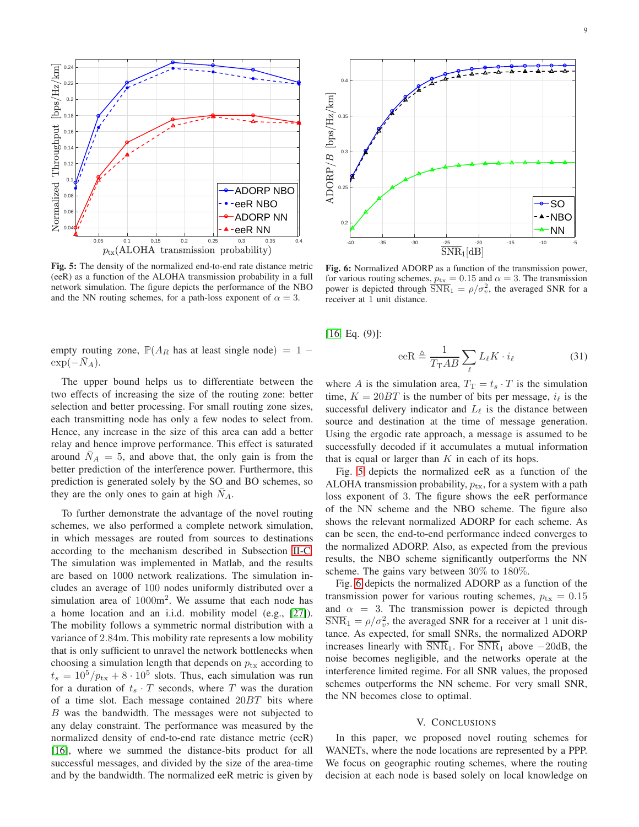<span id="page-8-1"></span>

Fig. 5: The density of the normalized end-to-end rate distance metric (eeR) as a function of the ALOHA transmission probability in a full network simulation. The figure depicts the performance of the NBO and the NN routing schemes, for a path-loss exponent of  $\alpha = 3$ .

empty routing zone,  $\mathbb{P}(A_R)$  has at least single node) = 1 –  $\exp(-\bar{N}_A)$ .

The upper bound helps us to differentiate between the two effects of increasing the size of the routing zone: better selection and better processing. For small routing zone sizes, each transmitting node has only a few nodes to select from. Hence, any increase in the size of this area can add a better relay and hence improve performance. This effect is saturated around  $N_A = 5$ , and above that, the only gain is from the better prediction of the interference power. Furthermore, this prediction is generated solely by the SO and BO schemes, so they are the only ones to gain at high  $\bar{N}_A$ .

To further demonstrate the advantage of the novel routing schemes, we also performed a complete network simulation, in which messages are routed from sources to destinations according to the mechanism described in Subsection [II-C.](#page-2-1) The simulation was implemented in Matlab, and the results are based on 1000 network realizations. The simulation includes an average of 100 nodes uniformly distributed over a simulation area of  $1000m^2$ . We assume that each node has a home location and an i.i.d. mobility model (e.g., [\[27\]](#page-11-25)). The mobility follows a symmetric normal distribution with a variance of 2.84m. This mobility rate represents a low mobility that is only sufficient to unravel the network bottlenecks when choosing a simulation length that depends on  $p_{\text{tx}}$  according to  $t_s = 10^5/p_{\text{tx}} + 8 \cdot 10^5$  slots. Thus, each simulation was run for a duration of  $t_s \cdot T$  seconds, where T was the duration of a time slot. Each message contained 20BT bits where B was the bandwidth. The messages were not subjected to any delay constraint. The performance was measured by the normalized density of end-to-end rate distance metric (eeR) [\[16\]](#page-11-13), where we summed the distance-bits product for all successful messages, and divided by the size of the area-time and by the bandwidth. The normalized eeR metric is given by

<span id="page-8-2"></span>

Fig. 6: Normalized ADORP as a function of the transmission power, for various routing schemes,  $p_{\text{tx}} = 0.15$  and  $\alpha = 3$ . The transmission power is depicted through  $\overline{SNR}_1 = \rho/\sigma_v^2$ , the averaged SNR for a receiver at 1 unit distance.

[\[16,](#page-11-13) Eq. (9)]:

$$
eeR \triangleq \frac{1}{T_{\rm T}AB} \sum_{\ell} L_{\ell} K \cdot i_{\ell} \tag{31}
$$

where A is the simulation area,  $T_T = t_s \cdot T$  is the simulation time,  $K = 20BT$  is the number of bits per message,  $i_{\ell}$  is the successful delivery indicator and  $L_{\ell}$  is the distance between source and destination at the time of message generation. Using the ergodic rate approach, a message is assumed to be successfully decoded if it accumulates a mutual information that is equal or larger than  $K$  in each of its hops.

Fig. [5](#page-8-1) depicts the normalized eeR as a function of the ALOHA transmission probability,  $p_{tx}$ , for a system with a path loss exponent of 3. The figure shows the eeR performance of the NN scheme and the NBO scheme. The figure also shows the relevant normalized ADORP for each scheme. As can be seen, the end-to-end performance indeed converges to the normalized ADORP. Also, as expected from the previous results, the NBO scheme significantly outperforms the NN scheme. The gains vary between 30% to 180%.

Fig. [6](#page-8-2) depicts the normalized ADORP as a function of the transmission power for various routing schemes,  $p_{\text{tx}} = 0.15$ and  $\alpha = 3$ . The transmission power is depicted through  $\overline{\text{SNR}}_1 = \rho/\sigma_v^2$ , the averaged SNR for a receiver at 1 unit distance. As expected, for small SNRs, the normalized ADORP increases linearly with  $SNR_1$ . For  $SNR_1$  above  $-20dB$ , the noise becomes negligible, and the networks operate at the interference limited regime. For all SNR values, the proposed schemes outperforms the NN scheme. For very small SNR, the NN becomes close to optimal.

#### V. CONCLUSIONS

<span id="page-8-0"></span>In this paper, we proposed novel routing schemes for WANETs, where the node locations are represented by a PPP. We focus on geographic routing schemes, where the routing decision at each node is based solely on local knowledge on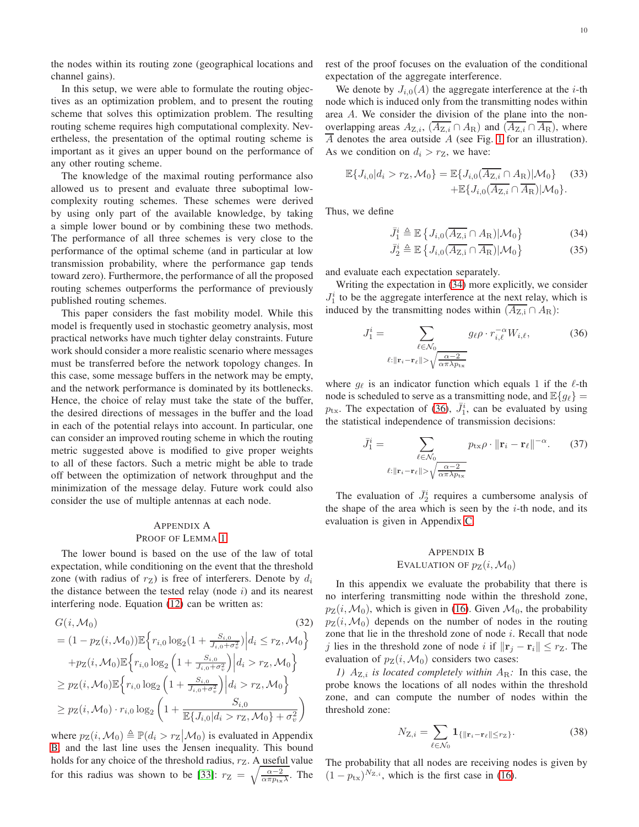the nodes within its routing zone (geographical locations and channel gains).

In this setup, we were able to formulate the routing objectives as an optimization problem, and to present the routing scheme that solves this optimization problem. The resulting routing scheme requires high computational complexity. Nevertheless, the presentation of the optimal routing scheme is important as it gives an upper bound on the performance of any other routing scheme.

The knowledge of the maximal routing performance also allowed us to present and evaluate three suboptimal lowcomplexity routing schemes. These schemes were derived by using only part of the available knowledge, by taking a simple lower bound or by combining these two methods. The performance of all three schemes is very close to the performance of the optimal scheme (and in particular at low transmission probability, where the performance gap tends toward zero). Furthermore, the performance of all the proposed routing schemes outperforms the performance of previously published routing schemes.

This paper considers the fast mobility model. While this model is frequently used in stochastic geometry analysis, most practical networks have much tighter delay constraints. Future work should consider a more realistic scenario where messages must be transferred before the network topology changes. In this case, some message buffers in the network may be empty, and the network performance is dominated by its bottlenecks. Hence, the choice of relay must take the state of the buffer, the desired directions of messages in the buffer and the load in each of the potential relays into account. In particular, one can consider an improved routing scheme in which the routing metric suggested above is modified to give proper weights to all of these factors. Such a metric might be able to trade off between the optimization of network throughput and the minimization of the message delay. Future work could also consider the use of multiple antennas at each node.

# <span id="page-9-0"></span>APPENDIX A PROOF OF LEMMA [1](#page-4-4)

The lower bound is based on the use of the law of total expectation, while conditioning on the event that the threshold zone (with radius of  $r_Z$ ) is free of interferers. Denote by  $d_i$ the distance between the tested relay (node  $i$ ) and its nearest interfering node. Equation [\(12\)](#page-4-1) can be written as:

$$
G(i, M_0)
$$
\n
$$
= (1 - p_Z(i, M_0)) \mathbb{E} \Big\{ r_{i,0} \log_2 (1 + \frac{S_{i,0}}{J_{i,0} + \sigma_v^2}) \Big| d_i \le r_Z, M_0 \Big\}
$$
\n
$$
+ p_Z(i, M_0) \mathbb{E} \Big\{ r_{i,0} \log_2 \left( 1 + \frac{S_{i,0}}{J_{i,0} + \sigma_v^2} \right) \Big| d_i > r_Z, M_0 \Big\}
$$
\n
$$
\ge p_Z(i, M_0) \mathbb{E} \Big\{ r_{i,0} \log_2 \left( 1 + \frac{S_{i,0}}{J_{i,0} + \sigma_v^2} \right) \Big| d_i > r_Z, M_0 \Big\}
$$
\n
$$
\ge p_Z(i, M_0) \cdot r_{i,0} \log_2 \left( 1 + \frac{S_{i,0}}{\mathbb{E} \{ J_{i,0} | d_i > r_Z, M_0 \} + \sigma_v^2} \right)
$$
\n
$$
(32)
$$

where  $p_Z(i, \mathcal{M}_0) \triangleq \mathbb{P}(d_i > r_Z | \mathcal{M}_0)$  is evaluated in Appendix [B,](#page-9-1) and the last line uses the Jensen inequality. This bound holds for any choice of the threshold radius,  $r_Z$ . A useful value for this radius was shown to be [\[33\]](#page-11-34):  $r_Z = \sqrt{\frac{\alpha - 2}{\alpha \pi p_{tx}}}.$  The

rest of the proof focuses on the evaluation of the conditional expectation of the aggregate interference.

We denote by  $J_{i,0}(A)$  the aggregate interference at the *i*-th node which is induced only from the transmitting nodes within area A. We consider the division of the plane into the nonoverlapping areas  $A_{Z,i}$ ,  $(\overline{A_{Z,i}} \cap A_R)$  and  $(\overline{A_{Z,i}} \cap \overline{A_R})$ , where  $\overline{A}$  denotes the area outside A (see Fig. [1](#page-5-0) for an illustration). As we condition on  $d_i > r_Z$ , we have:

$$
\mathbb{E}\{J_{i,0}|d_i > r_Z, \mathcal{M}_0\} = \mathbb{E}\{J_{i,0}(\overline{A_{Z,i}} \cap A_{\rm R})|\mathcal{M}_0\}
$$
(33)  
 
$$
+ \mathbb{E}\{J_{i,0}(\overline{A_{Z,i}} \cap \overline{A_{\rm R}})|\mathcal{M}_0\}.
$$

Thus, we define

<span id="page-9-2"></span>
$$
\bar{J}_1^i \triangleq \mathbb{E}\left\{J_{i,0}(\overline{A_{\mathbf{Z},i}} \cap A_{\mathbf{R}})|\mathcal{M}_0\right\} \tag{34}
$$

<span id="page-9-4"></span><span id="page-9-3"></span>
$$
\bar{J}_2^i \triangleq \mathbb{E}\left\{J_{i,0}(\overline{A_{\mathbf{Z},i}} \cap \overline{A_{\mathbf{R}}})|\mathcal{M}_0\right\} \tag{35}
$$

and evaluate each expectation separately.

Writing the expectation in [\(34\)](#page-9-2) more explicitly, we consider  $J_1^i$  to be the aggregate interference at the next relay, which is induced by the transmitting nodes within  $(\overline{A_{Z,i}} \cap A_R)$ :

$$
J_1^i = \sum_{\ell \in \mathcal{N}_0} g_{\ell} \rho \cdot r_{i,\ell}^{-\alpha} W_{i,\ell}, \qquad (36)
$$

$$
\ell: ||r_i - r_\ell|| > \sqrt{\frac{\alpha - 2}{\alpha \pi \lambda p_{tx}}}
$$

where  $g_{\ell}$  is an indicator function which equals 1 if the  $\ell$ -th node is scheduled to serve as a transmitting node, and  $\mathbb{E}\{g_\ell\} =$  $p_{\text{tx}}$ . The expectation of [\(36\)](#page-9-3),  $\bar{J}_1^i$ , can be evaluated by using the statistical independence of transmission decisions:

$$
\bar{J}_1^i = \sum_{\ell \in \mathcal{N}_0 \atop \ell: ||\mathbf{r}_i - \mathbf{r}_\ell|| > \sqrt{\frac{\alpha - 2}{\alpha \pi \lambda p_{\text{tx}}}}} p_{\text{tx}} \rho \cdot ||\mathbf{r}_i - \mathbf{r}_\ell||^{-\alpha}.
$$
 (37)

The evaluation of  $\bar{J}_2^i$  requires a cumbersome analysis of the shape of the area which is seen by the  $i$ -th node, and its evaluation is given in Appendix [C.](#page-10-0)

# <span id="page-9-1"></span>APPENDIX B EVALUATION OF  $p_Z(i, \mathcal{M}_0)$

In this appendix we evaluate the probability that there is no interfering transmitting node within the threshold zone,  $p_Z(i, \mathcal{M}_0)$ , which is given in [\(16\)](#page-5-3). Given  $\mathcal{M}_0$ , the probability  $p_Z(i, \mathcal{M}_0)$  depends on the number of nodes in the routing zone that lie in the threshold zone of node  $i$ . Recall that node j lies in the threshold zone of node i if  $\|\mathbf{r}_j - \mathbf{r}_i\| \leq r_Z$ . The evaluation of  $p_Z(i, \mathcal{M}_0)$  considers two cases:

*1)*  $A_{Z,i}$  *is located completely within*  $A_R$ : In this case, the probe knows the locations of all nodes within the threshold zone, and can compute the number of nodes within the threshold zone:

$$
N_{\mathbf{Z},i} = \sum_{\ell \in \mathcal{N}_0} \mathbf{1}_{\{\|\mathbf{r}_i - \mathbf{r}_\ell\| \le r_{\mathbf{Z}}\}}.
$$
 (38)

The probability that all nodes are receiving nodes is given by  $(1 - p_{\text{tx}})^{N_{\text{Z},i}}$ , which is the first case in [\(16\)](#page-5-3).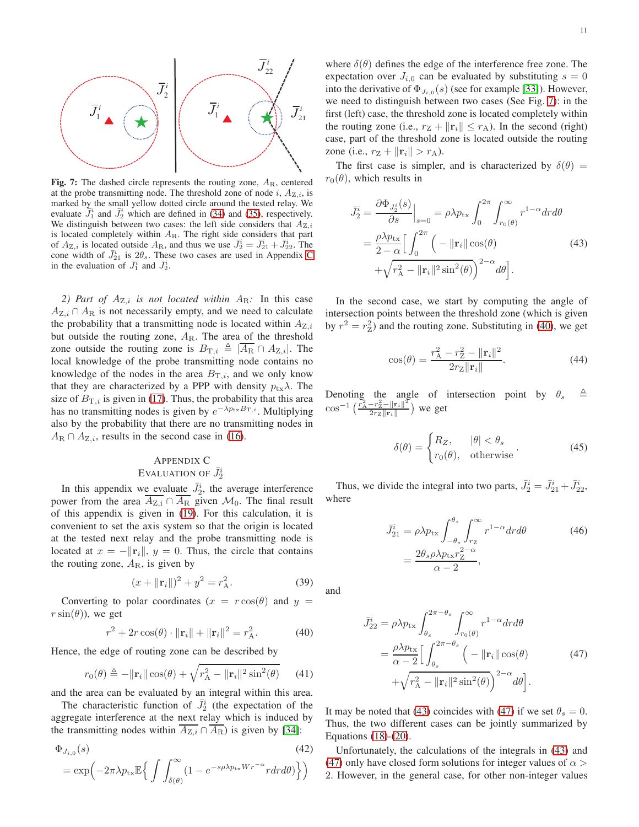<span id="page-10-1"></span>

Fig. 7: The dashed circle represents the routing zone,  $A_{\rm R}$ , centered at the probe transmitting node. The threshold zone of node  $i$ ,  $A_{Z,i}$ , is marked by the small yellow dotted circle around the tested relay. We evaluate  $J_1^i$  and  $J_2^i$  which are defined in [\(34\)](#page-9-2) and [\(35\)](#page-9-4), respectively. We distinguish between two cases: the left side considers that  $A_{Z,i}$ is located completely within  $A_R$ . The right side considers that part of  $A_{\text{Z},i}$  is located outside  $A_{\text{R}}$ , and thus we use  $\bar{J}_2^i = \bar{J}_{21}^i + \bar{J}_{22}^i$ . The cone width of  $\bar{J}_{21}^i$  is  $2\theta_s$ . These two cases are used in Appendix [C](#page-10-0) in the evaluation of  $\bar{J}_1^i$  and  $\bar{J}_2^i$ .

*2) Part of*  $A_{Z,i}$  *is not located within*  $A_R$ : In this case  $A_{\text{Z},i} \cap A_{\text{R}}$  is not necessarily empty, and we need to calculate the probability that a transmitting node is located within  $A_{\text{Z},i}$ but outside the routing zone,  $A_{\rm R}$ . The area of the threshold zone outside the routing zone is  $B_{\text{T},i} \triangleq |\overline{A_{\text{R}}} \cap A_{\text{Z},i}|$ . The local knowledge of the probe transmitting node contains no knowledge of the nodes in the area  $B_{\text{T},i}$ , and we only know that they are characterized by a PPP with density  $p_{\text{tx}}\lambda$ . The size of  $B_{T,i}$  is given in [\(17\)](#page-5-8). Thus, the probability that this area has no transmitting nodes is given by  $e^{-\lambda p_{\text{tx}}B_{\text{T},i}}$ . Multiplying also by the probability that there are no transmitting nodes in  $A_R \cap A_{Z,i}$ , results in the second case in [\(16\)](#page-5-3).

# <span id="page-10-0"></span>APPENDIX C EVALUATION OF  $\bar{J}_2^i$

In this appendix we evaluate  $\bar{J}_2^i$ , the average interference power from the area  $\overline{A_{Z,i}} \cap \overline{A_{R}}$  given  $\mathcal{M}_0$ . The final result of this appendix is given in [\(19\)](#page-5-1). For this calculation, it is convenient to set the axis system so that the origin is located at the tested next relay and the probe transmitting node is located at  $x = -\|\mathbf{r}_i\|$ ,  $y = 0$ . Thus, the circle that contains the routing zone,  $A_{\rm R}$ , is given by

$$
(x + ||\mathbf{r}_i||)^2 + y^2 = r_A^2.
$$
 (39)

Converting to polar coordinates  $(x = r \cos(\theta))$  and  $y =$  $r \sin(\theta)$ , we get

$$
r^{2} + 2r \cos(\theta) \cdot ||\mathbf{r}_{i}|| + ||\mathbf{r}_{i}||^{2} = r_{A}^{2}.
$$
 (40)

Hence, the edge of routing zone can be described by

$$
r_0(\theta) \triangleq -\|\mathbf{r}_i\| \cos(\theta) + \sqrt{r_{\mathbf{A}}^2 - \|\mathbf{r}_i\|^2 \sin^2(\theta)}
$$
 (41)

and the area can be evaluated by an integral within this area.

The characteristic function of  $\bar{J}_2^i$  (the expectation of the aggregate interference at the next relay which is induced by the transmitting nodes within  $\overline{A_{Z,i}} \cap \overline{A_{R}}$  is given by [\[34\]](#page-11-35):

$$
\Phi_{J_{i,0}}(s) \tag{42}
$$
\n
$$
= \exp\left(-2\pi\lambda p_{\text{tx}}\mathbb{E}\left\{\int\int_{\delta(\theta)}^{\infty} (1 - e^{-s\rho\lambda p_{\text{tx}}Wr^{-\alpha}} r dr d\theta)\right\}\right)
$$

where  $\delta(\theta)$  defines the edge of the interference free zone. The expectation over  $J_{i,0}$  can be evaluated by substituting  $s = 0$ into the derivative of  $\Phi_{J_{i,0}}(s)$  (see for example [\[33\]](#page-11-34)). However, we need to distinguish between two cases (See Fig. [7\)](#page-10-1): in the first (left) case, the threshold zone is located completely within the routing zone (i.e.,  $r_Z + ||\mathbf{r}_i|| \leq r_A$ ). In the second (right) case, part of the threshold zone is located outside the routing zone (i.e.,  $r_Z + ||\mathbf{r}_i|| > r_A$ ).

The first case is simpler, and is characterized by  $\delta(\theta)$  =  $r_0(\theta)$ , which results in

$$
\bar{J}_{2}^{i} = \frac{\partial \Phi_{J_{2}^{i}}(s)}{\partial s}\Big|_{s=0} = \rho \lambda p_{\text{tx}} \int_{0}^{2\pi} \int_{r_{0}(\theta)}^{\infty} r^{1-\alpha} dr d\theta
$$

$$
= \frac{\rho \lambda p_{\text{tx}}}{2-\alpha} \Big[ \int_{0}^{2\pi} \Big( - \|\mathbf{r}_{i}\| \cos(\theta) + \sqrt{r_{\text{A}}^{2} - \|\mathbf{r}_{i}\|^{2} \sin^{2}(\theta)} \Big)^{2-\alpha} d\theta \Big].
$$
(43)

In the second case, we start by computing the angle of intersection points between the threshold zone (which is given by  $r^2 = r_Z^2$ ) and the routing zone. Substituting in [\(40\)](#page-10-2), we get

<span id="page-10-3"></span>
$$
\cos(\theta) = \frac{r_{\rm A}^2 - r_{\rm Z}^2 - ||\mathbf{r}_i||^2}{2r_{\rm Z}||\mathbf{r}_i||}.
$$
 (44)

Denoting the angle of intersection point by  $\theta_s \triangleq$  $\cos^{-1}\left(\frac{r_{\rm A}^2-r_{\rm Z}^2-\|{\bf r}_i\|^2}{2r_{\rm Z}\|{\bf r}_i\|}\right)$  $\frac{-r_{\overline{Z}} - ||\mathbf{r}_i||^2}{2r_Z||\mathbf{r}_i||}$  we get

$$
\delta(\theta) = \begin{cases} R_Z, & |\theta| < \theta_s \\ r_0(\theta), & \text{otherwise} \end{cases}
$$
 (45)

Thus, we divide the integral into two parts,  $\bar{J}_2^i = \bar{J}_{21}^i + \bar{J}_{22}^i$ , where

$$
\bar{J}_{21}^{i} = \rho \lambda p_{\text{tx}} \int_{-\theta_{s}}^{\theta_{s}} \int_{r_{\text{Z}}}^{\infty} r^{1-\alpha} dr d\theta
$$
\n
$$
= \frac{2\theta_{s}\rho \lambda p_{\text{tx}} r_{\text{Z}}^{2-\alpha}}{\alpha - 2},
$$
\n(46)

<span id="page-10-2"></span>and

<span id="page-10-4"></span>
$$
\bar{J}_{22}^{i} = \rho \lambda p_{\text{tx}} \int_{\theta_{s}}^{2\pi - \theta_{s}} \int_{r_{0}(\theta)}^{\infty} r^{1-\alpha} dr d\theta
$$

$$
= \frac{\rho \lambda p_{\text{tx}}}{\alpha - 2} \Big[ \int_{\theta_{s}}^{2\pi - \theta_{s}} \left( - \|\mathbf{r}_{i}\| \cos(\theta) + \sqrt{r_{\text{A}}^{2} - \|\mathbf{r}_{i}\|^{2} \sin^{2}(\theta)} \right)^{2-\alpha} d\theta \Big].
$$
(47)

It may be noted that [\(43\)](#page-10-3) coincides with [\(47\)](#page-10-4) if we set  $\theta_s = 0$ . Thus, the two different cases can be jointly summarized by Equations [\(18\)](#page-5-9)-[\(20\)](#page-5-10).

Unfortunately, the calculations of the integrals in [\(43\)](#page-10-3) and [\(47\)](#page-10-4) only have closed form solutions for integer values of  $\alpha$ 2. However, in the general case, for other non-integer values